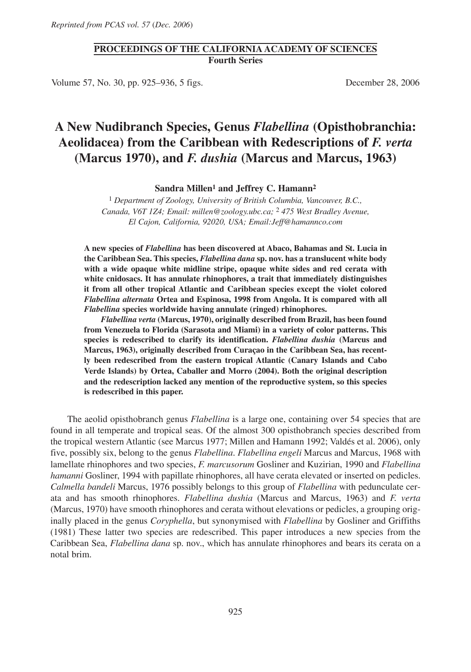## **PROCEEDINGS OF THE CALIFORNIA ACADEMY OF SCIENCES Fourth Series**

Volume 57, No. 30, pp. 925–936, 5 figs. December 28, 2006

# **A New Nudibranch Species, Genus** *Flabellina* **(Opisthobranchia: Aeolidacea) from the Caribbean with Redescriptions of** *F. verta* **(Marcus 1970), and** *F. dushia* **(Marcus and Marcus, 1963)**

**Sandra Millen1 and Jeffrey C. Hamann2**

1 *Department of Zoology, University of British Columbia, Vancouver, B.C., Canada, V6T 1Z4; Email: millen@zoology.ubc.ca;* 2 *475 West Bradley Avenue, El Cajon, California, 92020, USA; Email:Jeff@hamannco.com*

**A new species of** *Flabellina* **has been discovered at Abaco, Bahamas and St. Lucia in the Caribbean Sea. This species,** *Flabellina dana* **sp. nov. has a translucent white body with a wide opaque white midline stripe, opaque white sides and red cerata with white cnidosacs. It has annulate rhinophores, a trait that immediately distinguishes it from all other tropical Atlantic and Caribbean species except the violet colored** *Flabellina alternata* **Ortea and Espinosa, 1998 from Angola. It is compared with all** *Flabellina* **species worldwide having annulate (ringed) rhinophores.**

*Flabellina verta* **(Marcus, 1970), originally described from Brazil, has been found from Venezuela to Florida (Sarasota and Miami) in a variety of color patterns. This species is redescribed to clarify its identification.** *Flabellina dushia* **(Marcus and Marcus, 1963), originally described from Curaçao in the Caribbean Sea, has recently been redescribed from the eastern tropical Atlantic (Canary Islands and Cabo Verde Islands) by Ortea, Caballer and Morro (2004). Both the original description and the redescription lacked any mention of the reproductive system, so this species is redescribed in this paper.**

The aeolid opisthobranch genus *Flabellina* is a large one, containing over 54 species that are found in all temperate and tropical seas. Of the almost 300 opisthobranch species described from the tropical western Atlantic (see Marcus 1977; Millen and Hamann 1992; Valdés et al. 2006), only five, possibly six, belong to the genus *Flabellina*. *Flabellina engeli* Marcus and Marcus, 1968 with lamellate rhinophores and two species, *F. marcusorum* Gosliner and Kuzirian, 1990 and *Flabellina hamanni* Gosliner, 1994 with papillate rhinophores, all have cerata elevated or inserted on pedicles. *Calmella bandeli* Marcus, 1976 possibly belongs to this group of *Flabellina* with pedunculate cerata and has smooth rhinophores. *Flabellina dushia* (Marcus and Marcus, 1963) and *F. verta* (Marcus, 1970) have smooth rhinophores and cerata without elevations or pedicles, a grouping originally placed in the genus *Coryphella*, but synonymised with *Flabellina* by Gosliner and Griffiths (1981) These latter two species are redescribed. This paper introduces a new species from the Caribbean Sea, *Flabellina dana* sp. nov., which has annulate rhinophores and bears its cerata on a notal brim.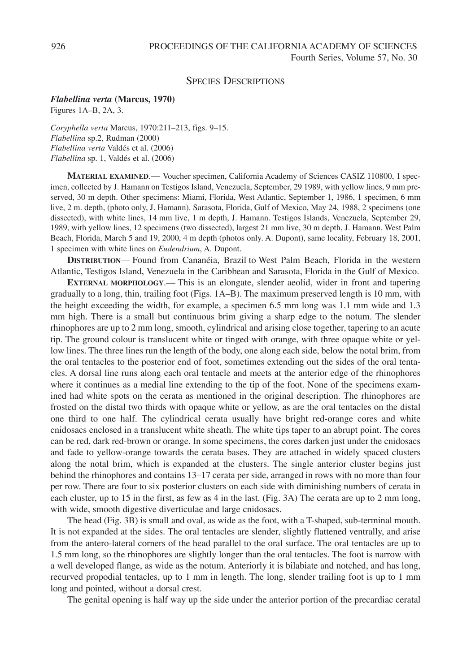## SPECIES DESCRIPTIONS

*Flabellina verta* **(Marcus, 1970)**

Figures 1A–B, 2A, 3.

*Coryphella verta* Marcus, 1970:211–213, figs. 9–15. *Flabellina* sp.2, Rudman (2000) *Flabellina verta* Valdés et al. (2006) *Flabellina* sp. 1, Valdés et al. (2006)

**MATERIAL EXAMINED**.— Voucher specimen, California Academy of Sciences CASIZ 110800, 1 specimen, collected by J. Hamann on Testigos Island, Venezuela, September, 29 1989, with yellow lines, 9 mm preserved, 30 m depth. Other specimens: Miami, Florida, West Atlantic, September 1, 1986, 1 specimen, 6 mm live, 2 m. depth, (photo only, J. Hamann). Sarasota, Florida, Gulf of Mexico, May 24, 1988, 2 specimens (one dissected), with white lines, 14 mm live, 1 m depth, J. Hamann. Testigos Islands, Venezuela, September 29, 1989, with yellow lines, 12 specimens (two dissected), largest 21 mm live, 30 m depth, J. Hamann. West Palm Beach, Florida, March 5 and 19, 2000, 4 m depth (photos only. A. Dupont), same locality, February 18, 2001, 1 specimen with white lines on *Eudendrium*, A. Dupont.

**DISTRIBUTION—** Found from Cananéia, Brazil to West Palm Beach, Florida in the western Atlantic, Testigos Island, Venezuela in the Caribbean and Sarasota, Florida in the Gulf of Mexico.

**EXTERNAL MORPHOLOGY**.— This is an elongate, slender aeolid, wider in front and tapering gradually to a long, thin, trailing foot (Figs. 1A–B). The maximum preserved length is 10 mm, with the height exceeding the width, for example, a specimen 6.5 mm long was 1.1 mm wide and 1.3 mm high. There is a small but continuous brim giving a sharp edge to the notum. The slender rhinophores are up to 2 mm long, smooth, cylindrical and arising close together, tapering to an acute tip. The ground colour is translucent white or tinged with orange, with three opaque white or yellow lines. The three lines run the length of the body, one along each side, below the notal brim, from the oral tentacles to the posterior end of foot, sometimes extending out the sides of the oral tentacles. A dorsal line runs along each oral tentacle and meets at the anterior edge of the rhinophores where it continues as a medial line extending to the tip of the foot. None of the specimens examined had white spots on the cerata as mentioned in the original description. The rhinophores are frosted on the distal two thirds with opaque white or yellow, as are the oral tentacles on the distal one third to one half. The cylindrical cerata usually have bright red-orange cores and white cnidosacs enclosed in a translucent white sheath. The white tips taper to an abrupt point. The cores can be red, dark red-brown or orange. In some specimens, the cores darken just under the cnidosacs and fade to yellow-orange towards the cerata bases. They are attached in widely spaced clusters along the notal brim, which is expanded at the clusters. The single anterior cluster begins just behind the rhinophores and contains 13–17 cerata per side, arranged in rows with no more than four per row. There are four to six posterior clusters on each side with diminishing numbers of cerata in each cluster, up to 15 in the first, as few as 4 in the last. (Fig. 3A) The cerata are up to 2 mm long, with wide, smooth digestive diverticulae and large cnidosacs.

The head (Fig. 3B) is small and oval, as wide as the foot, with a T-shaped, sub-terminal mouth. It is not expanded at the sides. The oral tentacles are slender, slightly flattened ventrally, and arise from the antero-lateral corners of the head parallel to the oral surface. The oral tentacles are up to 1.5 mm long, so the rhinophores are slightly longer than the oral tentacles. The foot is narrow with a well developed flange, as wide as the notum. Anteriorly it is bilabiate and notched, and has long, recurved propodial tentacles, up to 1 mm in length. The long, slender trailing foot is up to 1 mm long and pointed, without a dorsal crest.

The genital opening is half way up the side under the anterior portion of the precardiac ceratal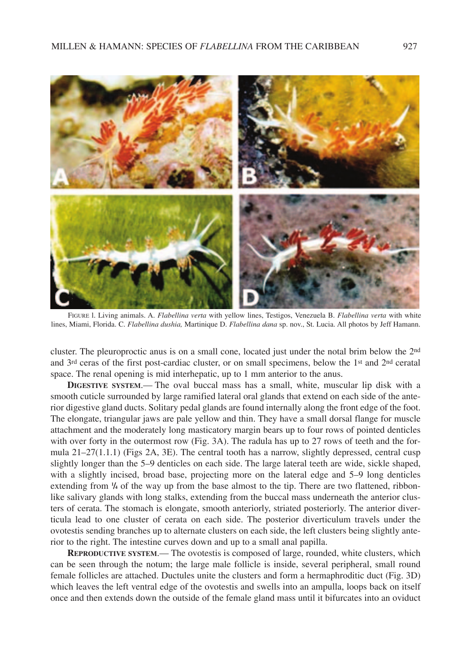

FIGURE l. Living animals. A. *Flabellina verta* with yellow lines, Testigos, Venezuela B. *Flabellina verta* with white lines, Miami, Florida. C. *Flabellina dushia,* Martinique D. *Flabellina dana* sp. nov., St. Lucia. All photos by Jeff Hamann.

cluster. The pleuroproctic anus is on a small cone, located just under the notal brim below the 2nd and 3rd ceras of the first post-cardiac cluster, or on small specimens, below the 1st and 2nd ceratal space. The renal opening is mid interhepatic, up to 1 mm anterior to the anus.

**DIGESTIVE SYSTEM**.— The oval buccal mass has a small, white, muscular lip disk with a smooth cuticle surrounded by large ramified lateral oral glands that extend on each side of the anterior digestive gland ducts. Solitary pedal glands are found internally along the front edge of the foot. The elongate, triangular jaws are pale yellow and thin. They have a small dorsal flange for muscle attachment and the moderately long masticatory margin bears up to four rows of pointed denticles with over forty in the outermost row (Fig. 3A). The radula has up to 27 rows of teeth and the formula 21–27(1.1.1) (Figs 2A, 3E). The central tooth has a narrow, slightly depressed, central cusp slightly longer than the 5–9 denticles on each side. The large lateral teeth are wide, sickle shaped, with a slightly incised, broad base, projecting more on the lateral edge and 5–9 long denticles extending from <sup>1</sup>/4 of the way up from the base almost to the tip. There are two flattened, ribbonlike salivary glands with long stalks, extending from the buccal mass underneath the anterior clusters of cerata. The stomach is elongate, smooth anteriorly, striated posteriorly. The anterior diverticula lead to one cluster of cerata on each side. The posterior diverticulum travels under the ovotestis sending branches up to alternate clusters on each side, the left clusters being slightly anterior to the right. The intestine curves down and up to a small anal papilla.

**REPRODUCTIVE SYSTEM**.— The ovotestis is composed of large, rounded, white clusters, which can be seen through the notum; the large male follicle is inside, several peripheral, small round female follicles are attached. Ductules unite the clusters and form a hermaphroditic duct (Fig. 3D) which leaves the left ventral edge of the ovotestis and swells into an ampulla, loops back on itself once and then extends down the outside of the female gland mass until it bifurcates into an oviduct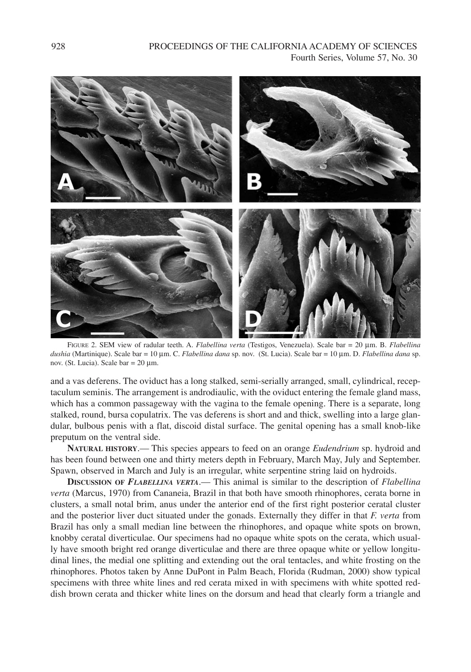

FIGURE 2. SEM view of radular teeth. A. *Flabellina verta* (Testigos, Venezuela). Scale bar = 20 µm. B. *Flabellina dushia* (Martinique). Scale bar = 10 µm. C. *Flabellina dana* sp. nov. (St. Lucia). Scale bar = 10 µm. D. *Flabellina dana* sp. nov. (St. Lucia). Scale bar =  $20 \mu m$ .

and a vas deferens. The oviduct has a long stalked, semi-serially arranged, small, cylindrical, receptaculum seminis. The arrangement is androdiaulic, with the oviduct entering the female gland mass, which has a common passageway with the vagina to the female opening. There is a separate, long stalked, round, bursa copulatrix. The vas deferens is short and and thick, swelling into a large glandular, bulbous penis with a flat, discoid distal surface. The genital opening has a small knob-like preputum on the ventral side.

**NATURAL HISTORY**.— This species appears to feed on an orange *Eudendrium* sp. hydroid and has been found between one and thirty meters depth in February, March May, July and September. Spawn, observed in March and July is an irregular, white serpentine string laid on hydroids.

**DISCUSSION OF** *FLABELLINA VERTA*.— This animal is similar to the description of *Flabellina verta* (Marcus, 1970) from Cananeia, Brazil in that both have smooth rhinophores, cerata borne in clusters, a small notal brim, anus under the anterior end of the first right posterior ceratal cluster and the posterior liver duct situated under the gonads. Externally they differ in that *F. verta* from Brazil has only a small median line between the rhinophores, and opaque white spots on brown, knobby ceratal diverticulae. Our specimens had no opaque white spots on the cerata, which usually have smooth bright red orange diverticulae and there are three opaque white or yellow longitudinal lines, the medial one splitting and extending out the oral tentacles, and white frosting on the rhinophores. Photos taken by Anne DuPont in Palm Beach, Florida (Rudman, 2000) show typical specimens with three white lines and red cerata mixed in with specimens with white spotted reddish brown cerata and thicker white lines on the dorsum and head that clearly form a triangle and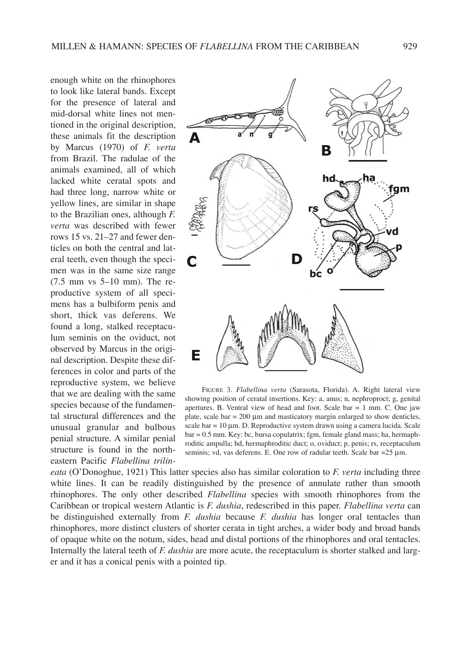enough white on the rhinophores to look like lateral bands. Except for the presence of lateral and mid-dorsal white lines not mentioned in the original description, these animals fit the description by Marcus (1970) of *F. verta* from Brazil. The radulae of the animals examined, all of which lacked white ceratal spots and had three long, narrow white or yellow lines, are similar in shape to the Brazilian ones, although *F. verta* was described with fewer rows 15 vs. 21–27 and fewer denticles on both the central and lateral teeth, even though the specimen was in the same size range (7.5 mm vs 5–10 mm). The reproductive system of all specimens has a bulbiform penis and short, thick vas deferens. We found a long, stalked receptaculum seminis on the oviduct, not observed by Marcus in the original description. Despite these differences in color and parts of the reproductive system, we believe that we are dealing with the same species because of the fundamental structural differences and the unusual granular and bulbous penial structure. A similar penial structure is found in the northeastern Pacific *Flabellina trilin-*



FIGURE 3. *Flabellina verta* (Sarasota, Florida). A. Right lateral view showing position of ceratal insertions. Key: a, anus; n, nephroproct; g, genital apertures. B. Ventral view of head and foot. Scale  $bar = 1$  mm. C. One jaw plate, scale bar  $= 200 \mu m$  and masticatory margin enlarged to show denticles, scale bar  $= 10 \mu m$ . D. Reproductive system drawn using a camera lucida. Scale bar = 0.5 mm. Key: bc, bursa copulatrix; fgm, female gland mass; ha, hermaphroditic ampulla; hd, hermaphroditic duct; o, oviduct; p, penis; rs, receptaculum seminis; vd, vas deferens. E. One row of radular teeth. Scale bar = 25 µm.

*eata* (O'Donoghue, 1921) This latter species also has similar coloration to *F. verta* including three white lines. It can be readily distinguished by the presence of annulate rather than smooth rhinophores. The only other described *Flabellina* species with smooth rhinophores from the Caribbean or tropical western Atlantic is *F. dushia*, redescribed in this paper. *Flabellina verta* can be distinguished externally from *F. dushia* because *F. dushia* has longer oral tentacles than rhinophores, more distinct clusters of shorter cerata in tight arches, a wider body and broad bands of opaque white on the notum, sides, head and distal portions of the rhinophores and oral tentacles. Internally the lateral teeth of *F. dushia* are more acute, the receptaculum is shorter stalked and larger and it has a conical penis with a pointed tip.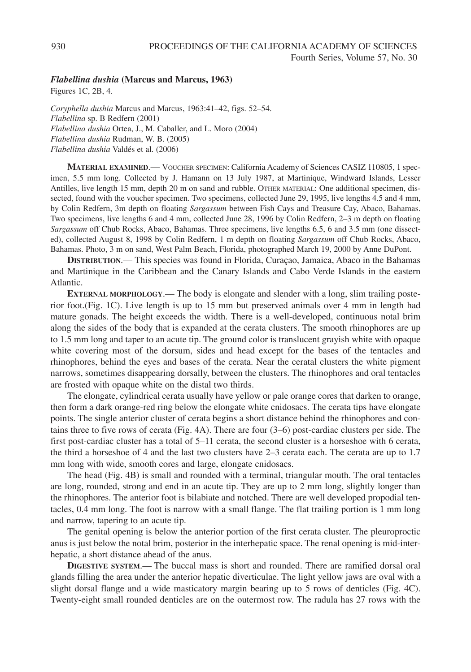#### *Flabellina dushia* **(Marcus and Marcus, 1963)**

Figures 1C, 2B, 4.

*Coryphella dushia* Marcus and Marcus, 1963:41–42, figs. 52–54. *Flabellina* sp. B Redfern (2001) *Flabellina dushia* Ortea, J., M. Caballer, and L. Moro (2004) *Flabellina dushia* Rudman, W. B. (2005) *Flabellina dushia* Valdés et al. (2006)

**MATERIAL EXAMINED**.— VOUCHER SPECIMEN: California Academy of Sciences CASIZ 110805, 1 specimen, 5.5 mm long. Collected by J. Hamann on 13 July 1987, at Martinique, Windward Islands, Lesser Antilles, live length 15 mm, depth 20 m on sand and rubble. OTHER MATERIAL: One additional specimen, dissected, found with the voucher specimen. Two specimens, collected June 29, 1995, live lengths 4.5 and 4 mm, by Colin Redfern, 3m depth on floating *Sargassum* between Fish Cays and Treasure Cay, Abaco, Bahamas. Two specimens, live lengths 6 and 4 mm, collected June 28, 1996 by Colin Redfern, 2–3 m depth on floating *Sargassum* off Chub Rocks, Abaco, Bahamas. Three specimens, live lengths 6.5, 6 and 3.5 mm (one dissected), collected August 8, 1998 by Colin Redfern, 1 m depth on floating *Sargassum* off Chub Rocks, Abaco, Bahamas. Photo, 3 m on sand, West Palm Beach, Florida, photographed March 19, 2000 by Anne DuPont.

**DISTRIBUTION**.— This species was found in Florida, Curaçao, Jamaica, Abaco in the Bahamas and Martinique in the Caribbean and the Canary Islands and Cabo Verde Islands in the eastern Atlantic.

**EXTERNAL MORPHOLOGY**.— The body is elongate and slender with a long, slim trailing posterior foot.(Fig. 1C). Live length is up to 15 mm but preserved animals over 4 mm in length had mature gonads. The height exceeds the width. There is a well-developed, continuous notal brim along the sides of the body that is expanded at the cerata clusters. The smooth rhinophores are up to 1.5 mm long and taper to an acute tip. The ground color is translucent grayish white with opaque white covering most of the dorsum, sides and head except for the bases of the tentacles and rhinophores, behind the eyes and bases of the cerata. Near the ceratal clusters the white pigment narrows, sometimes disappearing dorsally, between the clusters. The rhinophores and oral tentacles are frosted with opaque white on the distal two thirds.

The elongate, cylindrical cerata usually have yellow or pale orange cores that darken to orange, then form a dark orange-red ring below the elongate white cnidosacs. The cerata tips have elongate points. The single anterior cluster of cerata begins a short distance behind the rhinophores and contains three to five rows of cerata (Fig. 4A). There are four (3–6) post-cardiac clusters per side. The first post-cardiac cluster has a total of 5–11 cerata, the second cluster is a horseshoe with 6 cerata, the third a horseshoe of 4 and the last two clusters have 2–3 cerata each. The cerata are up to 1.7 mm long with wide, smooth cores and large, elongate cnidosacs.

The head (Fig. 4B) is small and rounded with a terminal, triangular mouth. The oral tentacles are long, rounded, strong and end in an acute tip. They are up to 2 mm long, slightly longer than the rhinophores. The anterior foot is bilabiate and notched. There are well developed propodial tentacles, 0.4 mm long. The foot is narrow with a small flange. The flat trailing portion is 1 mm long and narrow, tapering to an acute tip.

The genital opening is below the anterior portion of the first cerata cluster. The pleuroproctic anus is just below the notal brim, posterior in the interhepatic space. The renal opening is mid-interhepatic, a short distance ahead of the anus.

**DIGESTIVE SYSTEM**.— The buccal mass is short and rounded. There are ramified dorsal oral glands filling the area under the anterior hepatic diverticulae. The light yellow jaws are oval with a slight dorsal flange and a wide masticatory margin bearing up to 5 rows of denticles (Fig. 4C). Twenty-eight small rounded denticles are on the outermost row. The radula has 27 rows with the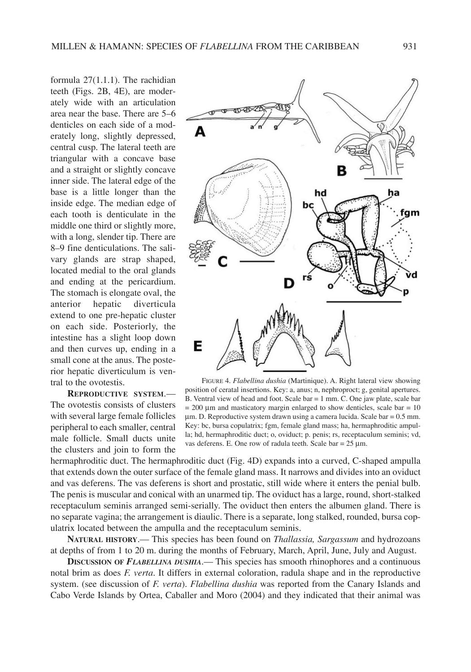formula 27(1.1.1). The rachidian teeth (Figs. 2B, 4E), are moderately wide with an articulation area near the base. There are 5–6 denticles on each side of a moderately long, slightly depressed, central cusp. The lateral teeth are triangular with a concave base and a straight or slightly concave inner side. The lateral edge of the base is a little longer than the inside edge. The median edge of each tooth is denticulate in the middle one third or slightly more, with a long, slender tip. There are 8–9 fine denticulations. The salivary glands are strap shaped, located medial to the oral glands and ending at the pericardium. The stomach is elongate oval, the anterior hepatic diverticula extend to one pre-hepatic cluster on each side. Posteriorly, the intestine has a slight loop down and then curves up, ending in a small cone at the anus. The posterior hepatic diverticulum is ventral to the ovotestis.

**REPRODUCTIVE SYSTEM**.— The ovotestis consists of clusters with several large female follicles peripheral to each smaller, central male follicle. Small ducts unite the clusters and join to form the



FIGURE 4. *Flabellina dushia* (Martinique). A. Right lateral view showing position of ceratal insertions. Key: a, anus; n, nephroproct; g, genital apertures. B. Ventral view of head and foot. Scale bar = 1 mm. C. One jaw plate, scale bar  $= 200 \mu m$  and masticatory margin enlarged to show denticles, scale bar  $= 10$ µm. D. Reproductive system drawn using a camera lucida. Scale bar = 0.5 mm. Key: bc, bursa copulatrix; fgm, female gland mass; ha, hermaphroditic ampulla; hd, hermaphroditic duct; o, oviduct; p. penis; rs, receptaculum seminis; vd, vas deferens. E. One row of radula teeth. Scale bar =  $25 \mu m$ .

hermaphroditic duct. The hermaphroditic duct (Fig. 4D) expands into a curved, C-shaped ampulla that extends down the outer surface of the female gland mass. It narrows and divides into an oviduct and vas deferens. The vas deferens is short and prostatic, still wide where it enters the penial bulb. The penis is muscular and conical with an unarmed tip. The oviduct has a large, round, short-stalked receptaculum seminis arranged semi-serially. The oviduct then enters the albumen gland. There is no separate vagina; the arrangement is diaulic. There is a separate, long stalked, rounded, bursa copulatrix located between the ampulla and the receptaculum seminis.

**NATURAL HISTORY**.— This species has been found on *Thallassia, Sargassum* and hydrozoans at depths of from 1 to 20 m. during the months of February, March, April, June, July and August.

**DISCUSSION OF FLABELLINA DUSHIA.** — This species has smooth rhinophores and a continuous notal brim as does *F. verta*. It differs in external coloration, radula shape and in the reproductive system. (see discussion of *F. verta*). *Flabellina dushia* was reported from the Canary Islands and Cabo Verde Islands by Ortea, Caballer and Moro (2004) and they indicated that their animal was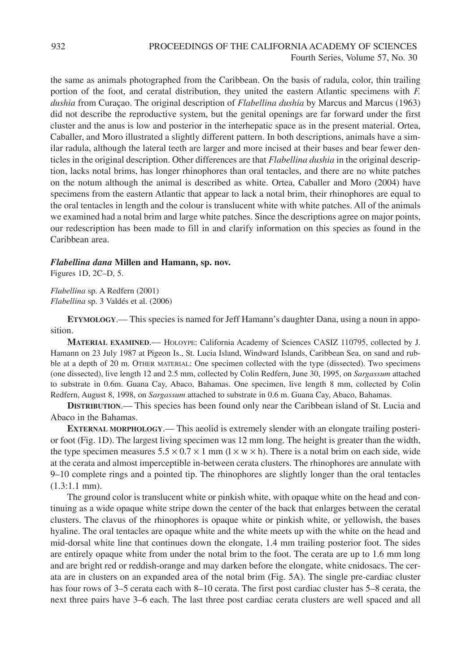the same as animals photographed from the Caribbean. On the basis of radula, color, thin trailing portion of the foot, and ceratal distribution, they united the eastern Atlantic specimens with *F. dushia* from Curaçao. The original description of *Flabellina dushia* by Marcus and Marcus (1963) did not describe the reproductive system, but the genital openings are far forward under the first cluster and the anus is low and posterior in the interhepatic space as in the present material. Ortea, Caballer, and Moro illustrated a slightly different pattern. In both descriptions, animals have a similar radula, although the lateral teeth are larger and more incised at their bases and bear fewer denticles in the original description. Other differences are that *Flabellina dushia* in the original description, lacks notal brims, has longer rhinophores than oral tentacles, and there are no white patches on the notum although the animal is described as white. Ortea, Caballer and Moro (2004) have specimens from the eastern Atlantic that appear to lack a notal brim, their rhinophores are equal to the oral tentacles in length and the colour is translucent white with white patches. All of the animals we examined had a notal brim and large white patches. Since the descriptions agree on major points, our redescription has been made to fill in and clarify information on this species as found in the Caribbean area.

### *Flabellina dana* **Millen and Hamann, sp. nov.**

Figures 1D, 2C–D, 5.

*Flabellina* sp. A Redfern (2001) *Flabellina* sp. 3 Valdés et al. (2006)

**ETYMOLOGY**.— This species is named for Jeff Hamann's daughter Dana, using a noun in apposition.

**MATERIAL EXAMINED**.— HOLOYPE: California Academy of Sciences CASIZ 110795, collected by J. Hamann on 23 July 1987 at Pigeon Is., St. Lucia Island, Windward Islands, Caribbean Sea, on sand and rubble at a depth of 20 m. OTHER MATERIAL: One specimen collected with the type (dissected). Two specimens (one dissected), live length 12 and 2.5 mm, collected by Colin Redfern, June 30, 1995, on *Sargassum* attached to substrate in 0.6m. Guana Cay, Abaco, Bahamas. One specimen, live length 8 mm, collected by Colin Redfern, August 8, 1998, on *Sargassum* attached to substrate in 0.6 m. Guana Cay, Abaco, Bahamas.

**DISTRIBUTION.**— This species has been found only near the Caribbean island of St. Lucia and Abaco in the Bahamas.

**EXTERNAL MORPHOLOGY**.— This aeolid is extremely slender with an elongate trailing posterior foot (Fig. 1D). The largest living specimen was 12 mm long. The height is greater than the width, the type specimen measures  $5.5 \times 0.7 \times 1$  mm ( $1 \times w \times h$ ). There is a notal brim on each side, wide at the cerata and almost imperceptible in-between cerata clusters. The rhinophores are annulate with 9–10 complete rings and a pointed tip. The rhinophores are slightly longer than the oral tentacles (1.3:1.1 mm).

The ground color is translucent white or pinkish white, with opaque white on the head and continuing as a wide opaque white stripe down the center of the back that enlarges between the ceratal clusters. The clavus of the rhinophores is opaque white or pinkish white, or yellowish, the bases hyaline. The oral tentacles are opaque white and the white meets up with the white on the head and mid-dorsal white line that continues down the elongate, 1.4 mm trailing posterior foot. The sides are entirely opaque white from under the notal brim to the foot. The cerata are up to 1.6 mm long and are bright red or reddish-orange and may darken before the elongate, white cnidosacs. The cerata are in clusters on an expanded area of the notal brim (Fig. 5A). The single pre-cardiac cluster has four rows of 3–5 cerata each with 8–10 cerata. The first post cardiac cluster has 5–8 cerata, the next three pairs have 3–6 each. The last three post cardiac cerata clusters are well spaced and all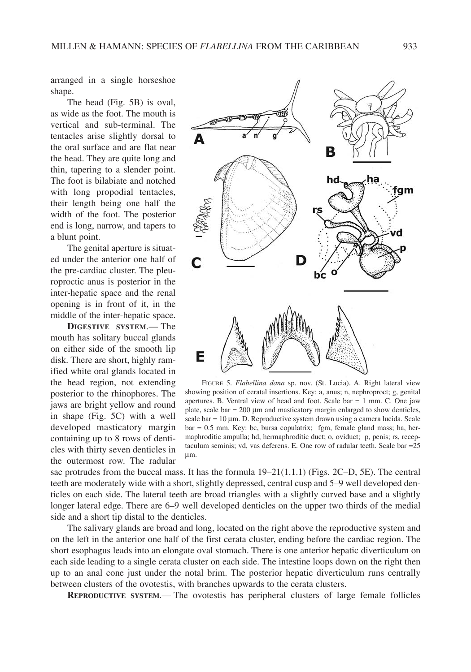arranged in a single horseshoe shape.

The head (Fig. 5B) is oval, as wide as the foot. The mouth is vertical and sub-terminal. The tentacles arise slightly dorsal to the oral surface and are flat near the head. They are quite long and thin, tapering to a slender point. The foot is bilabiate and notched with long propodial tentacles, their length being one half the width of the foot. The posterior end is long, narrow, and tapers to a blunt point.

The genital aperture is situated under the anterior one half of the pre-cardiac cluster. The pleuroproctic anus is posterior in the inter-hepatic space and the renal opening is in front of it, in the middle of the inter-hepatic space.

**DIGESTIVE SYSTEM**.— The mouth has solitary buccal glands on either side of the smooth lip disk. There are short, highly ramified white oral glands located in the head region, not extending posterior to the rhinophores. The jaws are bright yellow and round in shape (Fig. 5C) with a well developed masticatory margin containing up to 8 rows of denticles with thirty seven denticles in the outermost row. The radular



FIGURE 5. *Flabellina dana* sp. nov. (St. Lucia). A. Right lateral view showing position of ceratal insertions. Key: a, anus; n, nephroproct; g, genital apertures. B. Ventral view of head and foot. Scale  $bar = 1$  mm. C. One jaw plate, scale bar =  $200 \mu m$  and masticatory margin enlarged to show denticles, scale bar =  $10 \mu$ m. D. Reproductive system drawn using a camera lucida. Scale bar = 0.5 mm. Key: bc, bursa copulatrix; fgm, female gland mass; ha, hermaphroditic ampulla; hd, hermaphroditic duct; o, oviduct; p, penis; rs, receptaculum seminis; vd, vas deferens. E. One row of radular teeth. Scale bar =25 µm.

sac protrudes from the buccal mass. It has the formula 19–21(1.1.1) (Figs. 2C–D, 5E). The central teeth are moderately wide with a short, slightly depressed, central cusp and 5–9 well developed denticles on each side. The lateral teeth are broad triangles with a slightly curved base and a slightly longer lateral edge. There are 6–9 well developed denticles on the upper two thirds of the medial side and a short tip distal to the denticles.

The salivary glands are broad and long, located on the right above the reproductive system and on the left in the anterior one half of the first cerata cluster, ending before the cardiac region. The short esophagus leads into an elongate oval stomach. There is one anterior hepatic diverticulum on each side leading to a single cerata cluster on each side. The intestine loops down on the right then up to an anal cone just under the notal brim. The posterior hepatic diverticulum runs centrally between clusters of the ovotestis, with branches upwards to the cerata clusters.

**REPRODUCTIVE SYSTEM**.— The ovotestis has peripheral clusters of large female follicles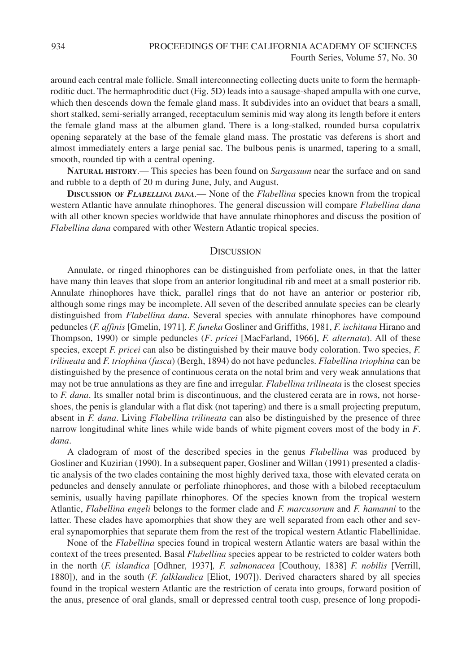around each central male follicle. Small interconnecting collecting ducts unite to form the hermaphroditic duct. The hermaphroditic duct (Fig. 5D) leads into a sausage-shaped ampulla with one curve, which then descends down the female gland mass. It subdivides into an oviduct that bears a small, short stalked, semi-serially arranged, receptaculum seminis mid way along its length before it enters the female gland mass at the albumen gland. There is a long-stalked, rounded bursa copulatrix opening separately at the base of the female gland mass. The prostatic vas deferens is short and almost immediately enters a large penial sac. The bulbous penis is unarmed, tapering to a small, smooth, rounded tip with a central opening.

**NATURAL HISTORY**.— This species has been found on *Sargassum* near the surface and on sand and rubble to a depth of 20 m during June, July, and August.

**DISCUSSION OF FLABELLINA DANA.— None of the** *Flabellina* **species known from the tropical** western Atlantic have annulate rhinophores. The general discussion will compare *Flabellina dana* with all other known species worldwide that have annulate rhinophores and discuss the position of *Flabellina dana* compared with other Western Atlantic tropical species.

## **DISCUSSION**

Annulate, or ringed rhinophores can be distinguished from perfoliate ones, in that the latter have many thin leaves that slope from an anterior longitudinal rib and meet at a small posterior rib. Annulate rhinophores have thick, parallel rings that do not have an anterior or posterior rib, although some rings may be incomplete. All seven of the described annulate species can be clearly distinguished from *Flabellina dana*. Several species with annulate rhinophores have compound peduncles (*F. affinis* [Gmelin, 1971]*, F. funeka* Gosliner and Griffiths, 1981, *F. ischitana* Hirano and Thompson, 1990) or simple peduncles (*F*. *pricei* [MacFarland, 1966], *F. alternata*). All of these species, except *F. pricei* can also be distinguished by their mauve body coloration. Two species, *F. trilineata* and *F. triophina* (*fusca*) (Bergh, 1894) do not have peduncles. *Flabellina triophina* can be distinguished by the presence of continuous cerata on the notal brim and very weak annulations that may not be true annulations as they are fine and irregular. *Flabellina trilineata* is the closest species to *F. dana*. Its smaller notal brim is discontinuous, and the clustered cerata are in rows, not horseshoes, the penis is glandular with a flat disk (not tapering) and there is a small projecting preputum, absent in *F. dana*. Living *Flabellina trilineata* can also be distinguished by the presence of three narrow longitudinal white lines while wide bands of white pigment covers most of the body in *F*. *dana*.

A cladogram of most of the described species in the genus *Flabellina* was produced by Gosliner and Kuzirian (1990). In a subsequent paper, Gosliner and Willan (1991) presented a cladistic analysis of the two clades containing the most highly derived taxa, those with elevated cerata on peduncles and densely annulate or perfoliate rhinophores, and those with a bilobed receptaculum seminis, usually having papillate rhinophores. Of the species known from the tropical western Atlantic, *Flabellina engeli* belongs to the former clade and *F. marcusorum* and *F. hamanni* to the latter. These clades have apomorphies that show they are well separated from each other and several synapomorphies that separate them from the rest of the tropical western Atlantic Flabellinidae.

None of the *Flabellina* species found in tropical western Atlantic waters are basal within the context of the trees presented. Basal *Flabellina* species appear to be restricted to colder waters both in the north (*F. islandica* [Odhner, 1937]*, F. salmonacea* [Couthouy, 1838] *F. nobilis* [Verrill, 1880]), and in the south (*F. falklandica* [Eliot, 1907]). Derived characters shared by all species found in the tropical western Atlantic are the restriction of cerata into groups, forward position of the anus, presence of oral glands, small or depressed central tooth cusp, presence of long propodi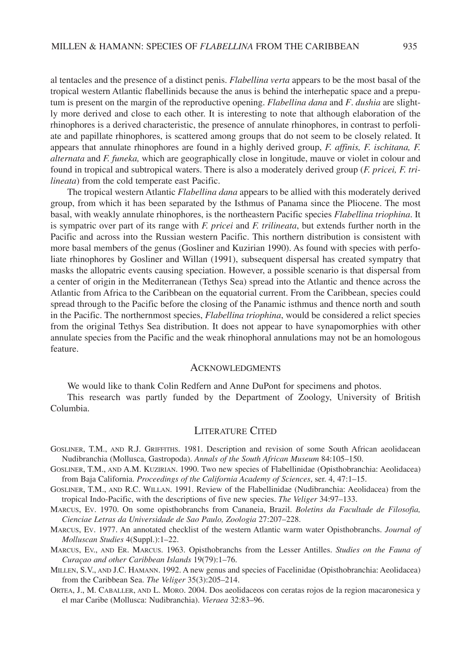al tentacles and the presence of a distinct penis. *Flabellina verta* appears to be the most basal of the tropical western Atlantic flabellinids because the anus is behind the interhepatic space and a preputum is present on the margin of the reproductive opening. *Flabellina dana* and *F*. *dushia* are slightly more derived and close to each other. It is interesting to note that although elaboration of the rhinophores is a derived characteristic, the presence of annulate rhinophores, in contrast to perfoliate and papillate rhinophores, is scattered among groups that do not seem to be closely related. It appears that annulate rhinophores are found in a highly derived group, *F. affinis, F. ischitana, F. alternata* and *F. funeka,* which are geographically close in longitude, mauve or violet in colour and found in tropical and subtropical waters. There is also a moderately derived group (*F. pricei, F. trilineata*) from the cold temperate east Pacific.

The tropical western Atlantic *Flabellina dana* appears to be allied with this moderately derived group, from which it has been separated by the Isthmus of Panama since the Pliocene. The most basal, with weakly annulate rhinophores, is the northeastern Pacific species *Flabellina triophina*. It is sympatric over part of its range with *F. pricei* and *F. trilineata*, but extends further north in the Pacific and across into the Russian western Pacific. This northern distribution is consistent with more basal members of the genus (Gosliner and Kuzirian 1990). As found with species with perfoliate rhinophores by Gosliner and Willan (1991), subsequent dispersal has created sympatry that masks the allopatric events causing speciation. However, a possible scenario is that dispersal from a center of origin in the Mediterranean (Tethys Sea) spread into the Atlantic and thence across the Atlantic from Africa to the Caribbean on the equatorial current. From the Caribbean, species could spread through to the Pacific before the closing of the Panamic isthmus and thence north and south in the Pacific. The northernmost species, *Flabellina triophina*, would be considered a relict species from the original Tethys Sea distribution. It does not appear to have synapomorphies with other annulate species from the Pacific and the weak rhinophoral annulations may not be an homologous feature.

#### ACKNOWLEDGMENTS

We would like to thank Colin Redfern and Anne DuPont for specimens and photos.

This research was partly funded by the Department of Zoology, University of British Columbia.

## LITERATURE CITED

- GOSLINER, T.M., AND R.J. GRIFFITHS. 1981. Description and revision of some South African aeolidacean Nudibranchia (Mollusca, Gastropoda). *Annals of the South African Museum* 84:105–150.
- GOSLINER, T.M., AND A.M. KUZIRIAN. 1990. Two new species of Flabellinidae (Opisthobranchia: Aeolidacea) from Baja California. *Proceedings of the California Academy of Sciences*, ser. 4, 47:1–15.
- GOSLINER, T.M., AND R.C. WILLAN. 1991. Review of the Flabellinidae (Nudibranchia: Aeolidacea) from the tropical Indo-Pacific, with the descriptions of five new species. *The Veliger* 34:97–133.
- MARCUS, EV. 1970. On some opisthobranchs from Cananeia, Brazil. *Boletins da Facultade de Filosofia, Cienciae Letras da Universidade de Sao Paulo, Zoologia* 27:207–228.
- MARCUS, EV. 1977. An annotated checklist of the western Atlantic warm water Opisthobranchs. *Journal of Molluscan Studies* 4(Suppl.):1–22.
- MARCUS, EV., AND ER. MARCUS. 1963. Opisthobranchs from the Lesser Antilles. *Studies on the Fauna of Curaçao and other Caribbean Islands* 19(79):1–76.
- MILLEN, S.V., AND J.C. HAMANN. 1992. A new genus and species of Facelinidae (Opisthobranchia: Aeolidacea) from the Caribbean Sea. *The Veliger* 35(3):205–214.
- ORTEA, J., M. CABALLER, AND L. MORO. 2004. Dos aeolidaceos con ceratas rojos de la region macaronesica y el mar Caribe (Mollusca: Nudibranchia). *Vieraea* 32:83–96.